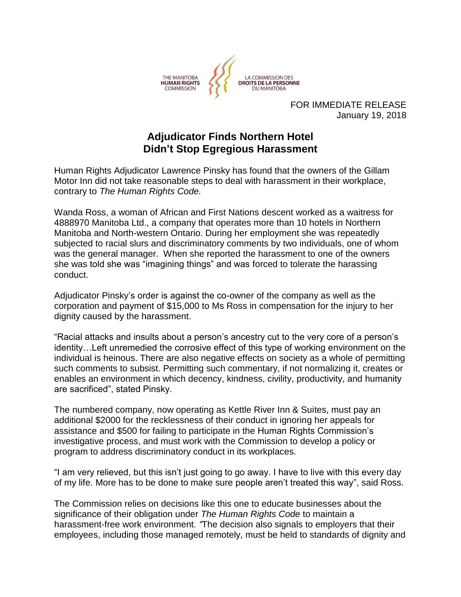

FOR IMMEDIATE RELEASE January 19, 2018

## **Adjudicator Finds Northern Hotel Didn't Stop Egregious Harassment**

Human Rights Adjudicator Lawrence Pinsky has found that the owners of the Gillam Motor Inn did not take reasonable steps to deal with harassment in their workplace, contrary to *The Human Rights Code.*

Wanda Ross, a woman of African and First Nations descent worked as a waitress for 4888970 Manitoba Ltd., a company that operates more than 10 hotels in Northern Manitoba and North-western Ontario. During her employment she was repeatedly subjected to racial slurs and discriminatory comments by two individuals, one of whom was the general manager. When she reported the harassment to one of the owners she was told she was "imagining things" and was forced to tolerate the harassing conduct.

Adjudicator Pinsky's order is against the co-owner of the company as well as the corporation and payment of \$15,000 to Ms Ross in compensation for the injury to her dignity caused by the harassment.

"Racial attacks and insults about a person's ancestry cut to the very core of a person's identity…Left unremedied the corrosive effect of this type of working environment on the individual is heinous. There are also negative effects on society as a whole of permitting such comments to subsist. Permitting such commentary, if not normalizing it, creates or enables an environment in which decency, kindness, civility, productivity, and humanity are sacrificed", stated Pinsky.

The numbered company, now operating as Kettle River Inn & Suites, must pay an additional \$2000 for the recklessness of their conduct in ignoring her appeals for assistance and \$500 for failing to participate in the Human Rights Commission's investigative process, and must work with the Commission to develop a policy or program to address discriminatory conduct in its workplaces.

"I am very relieved, but this isn't just going to go away. I have to live with this every day of my life. More has to be done to make sure people aren't treated this way", said Ross.

The Commission relies on decisions like this one to educate businesses about the significance of their obligation under *The Human Rights Code* to maintain a harassment-free work environment*. "*The decision also signals to employers that their employees, including those managed remotely, must be held to standards of dignity and